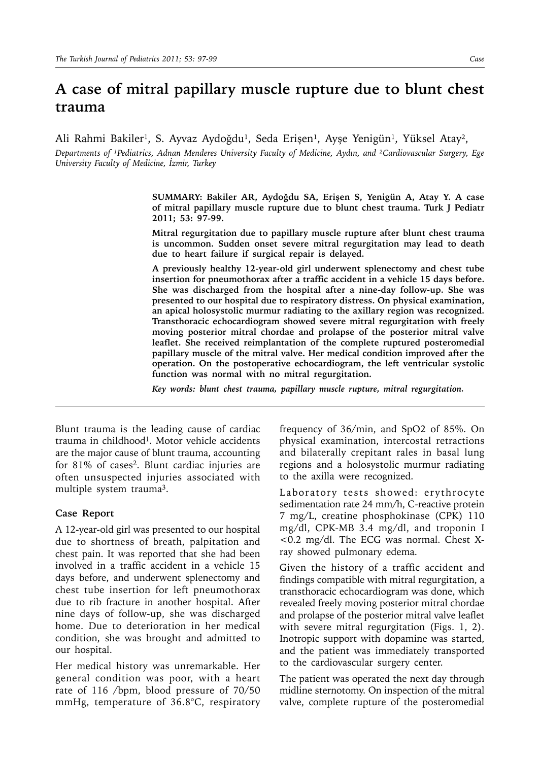## **A case of mitral papillary muscle rupture due to blunt chest trauma**

Ali Rahmi Bakiler<sup>i</sup>, S. Ayvaz Aydoğdu<sup>1</sup>, Seda Erişen<sup>1</sup>, Ayşe Yenigün<sup>1</sup>, Yüksel Atay<sup>2</sup>,

*Departments of ¹Pediatrics, Adnan Menderes University Faculty of Medicine, Aydın, and ²Cardiovascular Surgery, Ege University Faculty of Medicine, İzmir, Turkey*

> **SUMMARY: Bakiler AR, Aydoğdu SA, Erişen S, Yenigün A, Atay Y. A case of mitral papillary muscle rupture due to blunt chest trauma. Turk J Pediatr 2011; 53: 97-99.**

> **Mitral regurgitation due to papillary muscle rupture after blunt chest trauma is uncommon. Sudden onset severe mitral regurgitation may lead to death due to heart failure if surgical repair is delayed.**

> **A previously healthy 12-year-old girl underwent splenectomy and chest tube insertion for pneumothorax after a traffic accident in a vehicle 15 days before. She was discharged from the hospital after a nine-day follow-up. She was presented to our hospital due to respiratory distress. On physical examination, an apical holosystolic murmur radiating to the axillary region was recognized. Transthoracic echocardiogram showed severe mitral regurgitation with freely moving posterior mitral chordae and prolapse of the posterior mitral valve leaflet. She received reimplantation of the complete ruptured posteromedial papillary muscle of the mitral valve. Her medical condition improved after the operation. On the postoperative echocardiogram, the left ventricular systolic function was normal with no mitral regurgitation.**

*Key words: blunt chest trauma, papillary muscle rupture, mitral regurgitation.*

Blunt trauma is the leading cause of cardiac trauma in childhood<sup>1</sup>. Motor vehicle accidents are the major cause of blunt trauma, accounting for 81% of cases<sup>2</sup>. Blunt cardiac injuries are often unsuspected injuries associated with multiple system trauma3.

## **Case Report**

A 12-year-old girl was presented to our hospital due to shortness of breath, palpitation and chest pain. It was reported that she had been involved in a traffic accident in a vehicle 15 days before, and underwent splenectomy and chest tube insertion for left pneumothorax due to rib fracture in another hospital. After nine days of follow-up, she was discharged home. Due to deterioration in her medical condition, she was brought and admitted to our hospital.

Her medical history was unremarkable. Her general condition was poor, with a heart rate of 116 /bpm, blood pressure of 70/50 mmHg, temperature of 36.8°C, respiratory frequency of 36/min, and SpO2 of 85%. On physical examination, intercostal retractions and bilaterally crepitant rales in basal lung regions and a holosystolic murmur radiating to the axilla were recognized.

Laboratory tests showed: erythrocyte sedimentation rate 24 mm/h, C-reactive protein 7 mg/L, creatine phosphokinase (CPK) 110 mg/dl, CPK-MB 3.4 mg/dl, and troponin I <0.2 mg/dl. The ECG was normal. Chest Xray showed pulmonary edema.

Given the history of a traffic accident and findings compatible with mitral regurgitation, a transthoracic echocardiogram was done, which revealed freely moving posterior mitral chordae and prolapse of the posterior mitral valve leaflet with severe mitral regurgitation (Figs. 1, 2). Inotropic support with dopamine was started, and the patient was immediately transported to the cardiovascular surgery center.

The patient was operated the next day through midline sternotomy. On inspection of the mitral valve, complete rupture of the posteromedial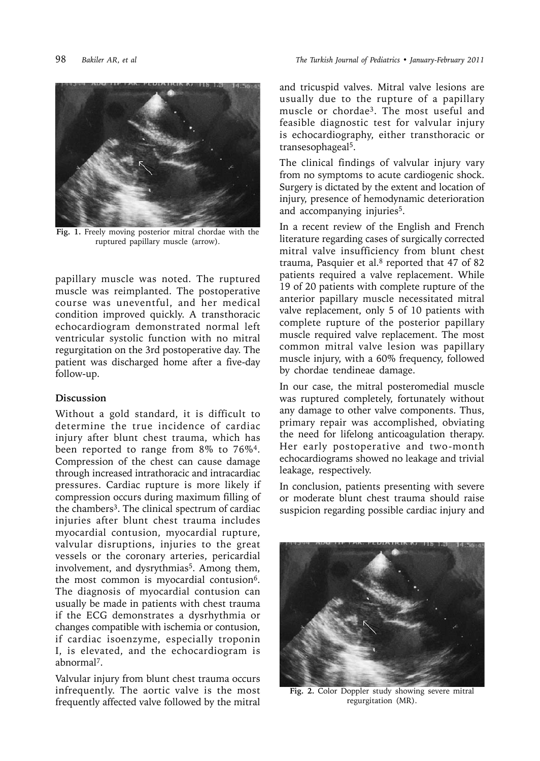

**Fig. 1.** Freely moving posterior mitral chordae with the ruptured papillary muscle (arrow).

papillary muscle was noted. The ruptured muscle was reimplanted. The postoperative course was uneventful, and her medical condition improved quickly. A transthoracic echocardiogram demonstrated normal left ventricular systolic function with no mitral regurgitation on the 3rd postoperative day. The patient was discharged home after a five-day follow-up.

## **Discussion**

Without a gold standard, it is difficult to determine the true incidence of cardiac injury after blunt chest trauma, which has been reported to range from 8% to 76%4. Compression of the chest can cause damage through increased intrathoracic and intracardiac pressures. Cardiac rupture is more likely if compression occurs during maximum filling of the chambers<sup>3</sup>. The clinical spectrum of cardiac injuries after blunt chest trauma includes myocardial contusion, myocardial rupture, valvular disruptions, injuries to the great vessels or the coronary arteries, pericardial involvement, and dysrythmias<sup>5</sup>. Among them, the most common is myocardial contusion<sup>6</sup>. The diagnosis of myocardial contusion can usually be made in patients with chest trauma if the ECG demonstrates a dysrhythmia or changes compatible with ischemia or contusion, if cardiac isoenzyme, especially troponin I, is elevated, and the echocardiogram is abnormal7.

Valvular injury from blunt chest trauma occurs infrequently. The aortic valve is the most frequently affected valve followed by the mitral and tricuspid valves. Mitral valve lesions are usually due to the rupture of a papillary muscle or chordae3. The most useful and feasible diagnostic test for valvular injury is echocardiography, either transthoracic or transesophageal5.

The clinical findings of valvular injury vary from no symptoms to acute cardiogenic shock. Surgery is dictated by the extent and location of injury, presence of hemodynamic deterioration and accompanying injuries<sup>5</sup>.

In a recent review of the English and French literature regarding cases of surgically corrected mitral valve insufficiency from blunt chest trauma, Pasquier et al.<sup>8</sup> reported that 47 of 82 patients required a valve replacement. While 19 of 20 patients with complete rupture of the anterior papillary muscle necessitated mitral valve replacement, only 5 of 10 patients with complete rupture of the posterior papillary muscle required valve replacement. The most common mitral valve lesion was papillary muscle injury, with a 60% frequency, followed by chordae tendineae damage.

In our case, the mitral posteromedial muscle was ruptured completely, fortunately without any damage to other valve components. Thus, primary repair was accomplished, obviating the need for lifelong anticoagulation therapy. Her early postoperative and two-month echocardiograms showed no leakage and trivial leakage, respectively.

In conclusion, patients presenting with severe or moderate blunt chest trauma should raise suspicion regarding possible cardiac injury and



**Fig. 2.** Color Doppler study showing severe mitral regurgitation (MR).